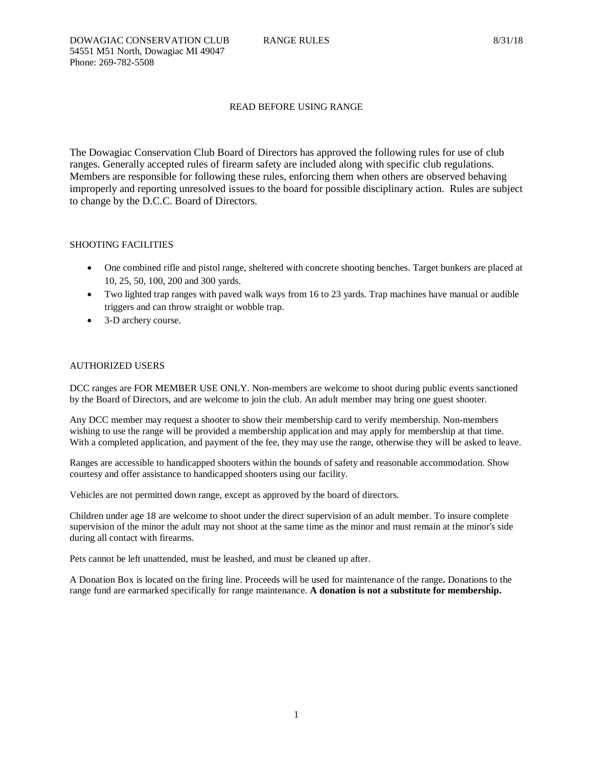# READ BEFORE USING RANGE

The Dowagiac Conservation Club Board of Directors has approved the following rules for use of club ranges. Generally accepted rules of firearm safety are included along with specific club regulations. Members are responsible for following these rules, enforcing them when others are observed behaving improperly and reporting unresolved issues to the board for possible disciplinary action. Rules are subject to change by the D.C.C. Board of Directors.

# SHOOTING FACILITIES

- One combined rifle and pistol range, sheltered with concrete shooting benches. Target bunkers are placed at 10, 25, 50, 100, 200 and 300 yards.
- Two lighted trap ranges with paved walk ways from 16 to 23 yards. Trap machines have manual or audible triggers and can throw straight or wobble trap.
- 3-D archery course.

# AUTHORIZED USERS

DCC ranges are FOR MEMBER USE ONLY. Non-members are welcome to shoot during public events sanctioned by the Board of Directors, and are welcome to join the club. An adult member may bring one guest shooter.

Any DCC member may request a shooter to show their membership card to verify membership. Non-members wishing to use the range will be provided a membership application and may apply for membership at that time. With a completed application, and payment of the fee, they may use the range, otherwise they will be asked to leave.

Ranges are accessible to handicapped shooters within the bounds of safety and reasonable accommodation. Show courtesy and offer assistance to handicapped shooters using our facility.

Vehicles are not permitted down range, except as approved by the board of directors.

Children under age 18 are welcome to shoot under the direct supervision of an adult member. To insure complete supervision of the minor the adult may not shoot at the same time as the minor and must remain at the minor's side during all contact with firearms.

Pets cannot be left unattended, must be leashed, and must be cleaned up after.

A Donation Box is located on the firing line. Proceeds will be used for maintenance of the range**.** Donations to the range fund are earmarked specifically for range maintenance. **A donation is not a substitute for membership.**

1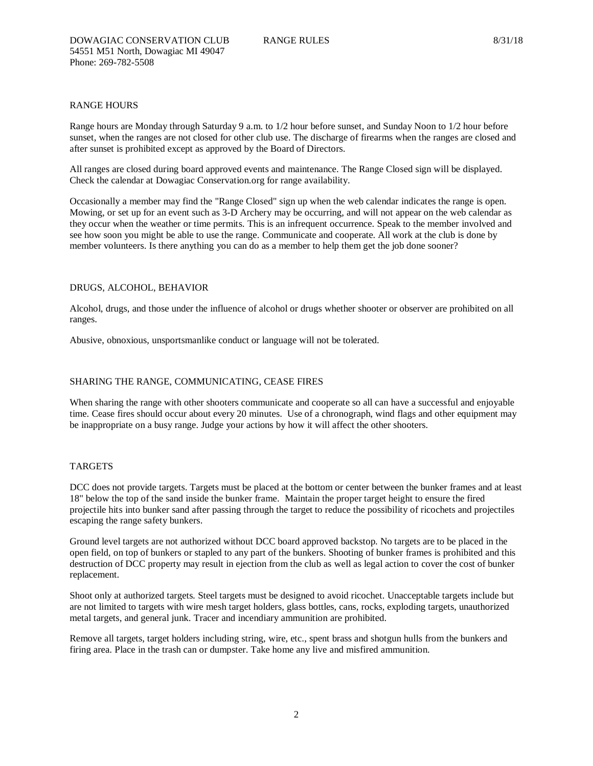## RANGE HOURS

Range hours are Monday through Saturday 9 a.m. to 1/2 hour before sunset, and Sunday Noon to 1/2 hour before sunset, when the ranges are not closed for other club use. The discharge of firearms when the ranges are closed and after sunset is prohibited except as approved by the Board of Directors.

All ranges are closed during board approved events and maintenance. The Range Closed sign will be displayed. Check the calendar at Dowagiac Conservation.org for range availability.

Occasionally a member may find the "Range Closed" sign up when the web calendar indicates the range is open. Mowing, or set up for an event such as 3-D Archery may be occurring, and will not appear on the web calendar as they occur when the weather or time permits. This is an infrequent occurrence. Speak to the member involved and see how soon you might be able to use the range. Communicate and cooperate. All work at the club is done by member volunteers. Is there anything you can do as a member to help them get the job done sooner?

## DRUGS, ALCOHOL, BEHAVIOR

Alcohol, drugs, and those under the influence of alcohol or drugs whether shooter or observer are prohibited on all ranges.

Abusive, obnoxious, unsportsmanlike conduct or language will not be tolerated.

## SHARING THE RANGE, COMMUNICATING, CEASE FIRES

When sharing the range with other shooters communicate and cooperate so all can have a successful and enjoyable time. Cease fires should occur about every 20 minutes. Use of a chronograph, wind flags and other equipment may be inappropriate on a busy range. Judge your actions by how it will affect the other shooters.

#### TARGETS

DCC does not provide targets. Targets must be placed at the bottom or center between the bunker frames and at least 18" below the top of the sand inside the bunker frame. Maintain the proper target height to ensure the fired projectile hits into bunker sand after passing through the target to reduce the possibility of ricochets and projectiles escaping the range safety bunkers.

Ground level targets are not authorized without DCC board approved backstop. No targets are to be placed in the open field, on top of bunkers or stapled to any part of the bunkers. Shooting of bunker frames is prohibited and this destruction of DCC property may result in ejection from the club as well as legal action to cover the cost of bunker replacement.

Shoot only at authorized targets. Steel targets must be designed to avoid ricochet. Unacceptable targets include but are not limited to targets with wire mesh target holders, glass bottles, cans, rocks, exploding targets, unauthorized metal targets, and general junk. Tracer and incendiary ammunition are prohibited.

Remove all targets, target holders including string, wire, etc., spent brass and shotgun hulls from the bunkers and firing area. Place in the trash can or dumpster. Take home any live and misfired ammunition.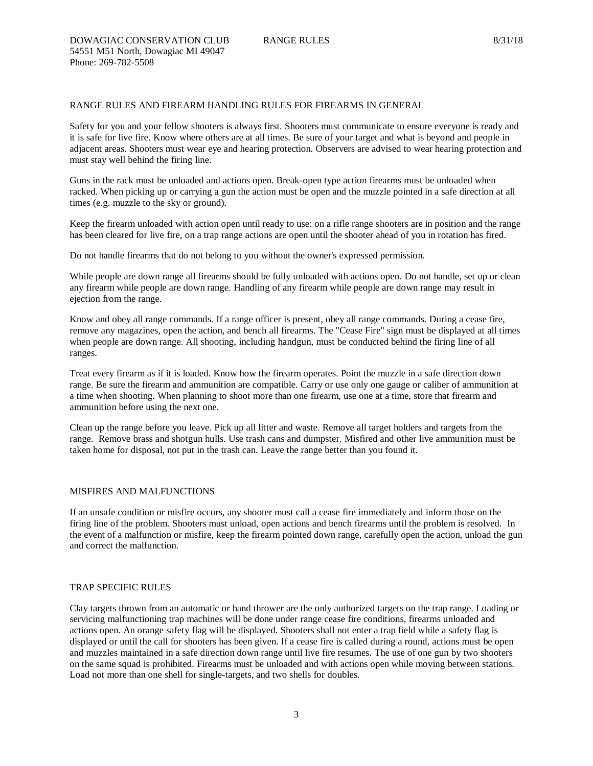## RANGE RULES AND FIREARM HANDLING RULES FOR FIREARMS IN GENERAL

Safety for you and your fellow shooters is always first. Shooters must communicate to ensure everyone is ready and it is safe for live fire. Know where others are at all times. Be sure of your target and what is beyond and people in adjacent areas. Shooters must wear eye and hearing protection. Observers are advised to wear hearing protection and must stay well behind the firing line.

Guns in the rack must be unloaded and actions open. Break-open type action firearms must be unloaded when racked. When picking up or carrying a gun the action must be open and the muzzle pointed in a safe direction at all times (e.g. muzzle to the sky or ground).

Keep the firearm unloaded with action open until ready to use: on a rifle range shooters are in position and the range has been cleared for live fire, on a trap range actions are open until the shooter ahead of you in rotation has fired.

Do not handle firearms that do not belong to you without the owner's expressed permission.

While people are down range all firearms should be fully unloaded with actions open. Do not handle, set up or clean any firearm while people are down range. Handling of any firearm while people are down range may result in ejection from the range.

Know and obey all range commands. If a range officer is present, obey all range commands. During a cease fire, remove any magazines, open the action, and bench all firearms. The "Cease Fire" sign must be displayed at all times when people are down range. All shooting, including handgun, must be conducted behind the firing line of all ranges.

Treat every firearm as if it is loaded. Know how the firearm operates. Point the muzzle in a safe direction down range. Be sure the firearm and ammunition are compatible. Carry or use only one gauge or caliber of ammunition at a time when shooting. When planning to shoot more than one firearm, use one at a time, store that firearm and ammunition before using the next one.

Clean up the range before you leave. Pick up all litter and waste. Remove all target holders and targets from the range. Remove brass and shotgun hulls. Use trash cans and dumpster. Misfired and other live ammunition must be taken home for disposal, not put in the trash can. Leave the range better than you found it.

# MISFIRES AND MALFUNCTIONS

If an unsafe condition or misfire occurs, any shooter must call a cease fire immediately and inform those on the firing line of the problem. Shooters must unload, open actions and bench firearms until the problem is resolved. In the event of a malfunction or misfire, keep the firearm pointed down range, carefully open the action, unload the gun and correct the malfunction.

## TRAP SPECIFIC RULES

Clay targets thrown from an automatic or hand thrower are the only authorized targets on the trap range. Loading or servicing malfunctioning trap machines will be done under range cease fire conditions, firearms unloaded and actions open. An orange safety flag will be displayed. Shooters shall not enter a trap field while a safety flag is displayed or until the call for shooters has been given. If a cease fire is called during a round, actions must be open and muzzles maintained in a safe direction down range until live fire resumes. The use of one gun by two shooters on the same squad is prohibited. Firearms must be unloaded and with actions open while moving between stations. Load not more than one shell for single-targets, and two shells for doubles.